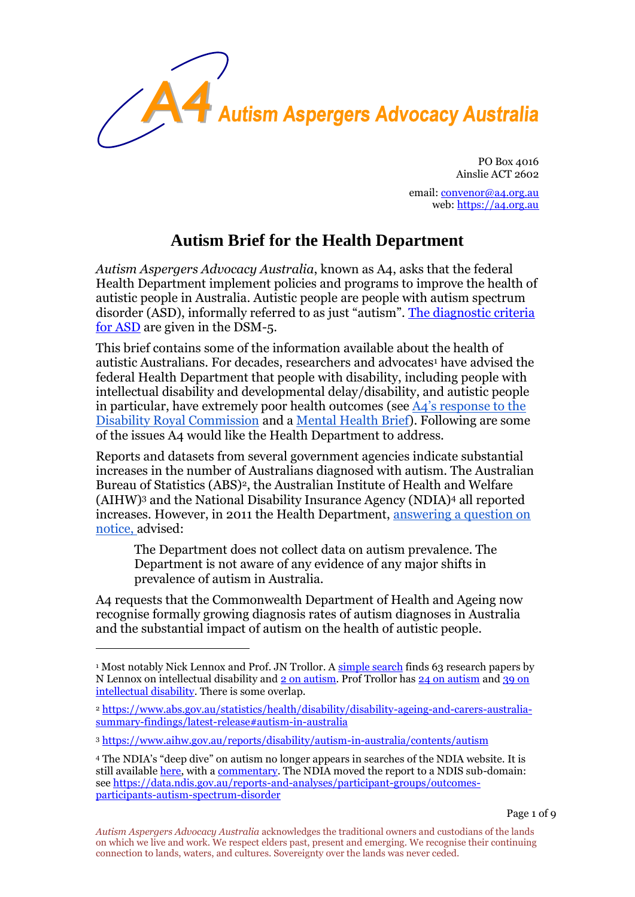

PO Box 4016 Ainslie ACT 2602

email[: convenor@a4.org.au](mailto:convenor@a4.org.au) web[: https://a4.org.au](https://a4.org.au/)

## **Autism Brief for the Health Department**

*Autism Aspergers Advocacy Australia*, known as A4, asks that the federal Health Department implement policies and programs to improve the health of autistic people in Australia. Autistic people are people with autism spectrum disorder (ASD), informally referred to as just "autism". [The diagnostic criteria](https://a4.org.au/dsm5-asd)  [for ASD](https://a4.org.au/dsm5-asd) are given in the DSM-5.

This brief contains some of the information available about the health of autistic Australians. For decades, researchers and advocates<sup>1</sup> have advised the federal Health Department that people with disability, including people with intellectual disability and developmental delay/disability, and autistic people in particular, have extremely poor health outcomes (see [A4's response to the](https://disability.royalcommission.gov.au/system/files/submission/ISS.001.00171_2.PDF)  [Disability Royal Commission](https://disability.royalcommission.gov.au/system/files/submission/ISS.001.00171_2.PDF) and a [Mental Health Brief\)](https://a4.org.au/node/2382). Following are some of the issues A4 would like the Health Department to address.

Reports and datasets from several government agencies indicate substantial increases in the number of Australians diagnosed with autism. The Australian Bureau of Statistics (ABS)<sup>2</sup>, the Australian Institute of Health and Welfare (AIHW)<sup>3</sup> and the National Disability Insurance Agency (NDIA)<sup>4</sup> all reported increases. However, in 2011 the Health Department, [answering a question on](https://a4.org.au/sites/default/files/FOI%20255_1011%20doc%206.pdf)  [notice,](https://a4.org.au/sites/default/files/FOI%20255_1011%20doc%206.pdf) advised:

The Department does not collect data on autism prevalence. The Department is not aware of any evidence of any major shifts in prevalence of autism in Australia.

A4 requests that the Commonwealth Department of Health and Ageing now recognise formally growing diagnosis rates of autism diagnoses in Australia and the substantial impact of autism on the health of autistic people.

<sup>&</sup>lt;sup>1</sup> Most notably Nick Lennox and Prof. JN Trollor. A [simple search](https://pubmed.ncbi.nlm.nih.gov/?term=Lennox+NG+%22intellectual+disability%22) finds 63 research papers by N Lennox on intellectual disability and [2 on autism.](https://pubmed.ncbi.nlm.nih.gov/?term=Lennox+NG+autism) Prof Trollor has [24 on autism](https://pubmed.ncbi.nlm.nih.gov/?term=trollor+jn+autism&sort=date&size=100) an[d 39 on](https://pubmed.ncbi.nlm.nih.gov/?term=trollor+jn+%22intellectual+disability%22&sort=date&size=100)  [intellectual disability.](https://pubmed.ncbi.nlm.nih.gov/?term=trollor+jn+%22intellectual+disability%22&sort=date&size=100) There is some overlap.

<sup>2</sup> [https://www.abs.gov.au/statistics/health/disability/disability-ageing-and-carers-australia](https://www.abs.gov.au/statistics/health/disability/disability-ageing-and-carers-australia-summary-findings/latest-release#autism-in-australia)[summary-findings/latest-release#autism-in-australia](https://www.abs.gov.au/statistics/health/disability/disability-ageing-and-carers-australia-summary-findings/latest-release#autism-in-australia)

<sup>3</sup> <https://www.aihw.gov.au/reports/disability/autism-in-australia/contents/autism>

<sup>4</sup> The NDIA's "deep dive" on autism no longer appears in searches of the NDIA website. It is still available [here,](https://a4.org.au/sites/default/files/PB%20Outcomes%20ASD%20PDF.pdf) with a [commentary.](https://a4.org.au/node/2084) The NDIA moved the report to a NDIS sub-domain: see [https://data.ndis.gov.au/reports-and-analyses/participant-groups/outcomes](https://data.ndis.gov.au/reports-and-analyses/participant-groups/outcomes-participants-autism-spectrum-disorder)[participants-autism-spectrum-disorder](https://data.ndis.gov.au/reports-and-analyses/participant-groups/outcomes-participants-autism-spectrum-disorder)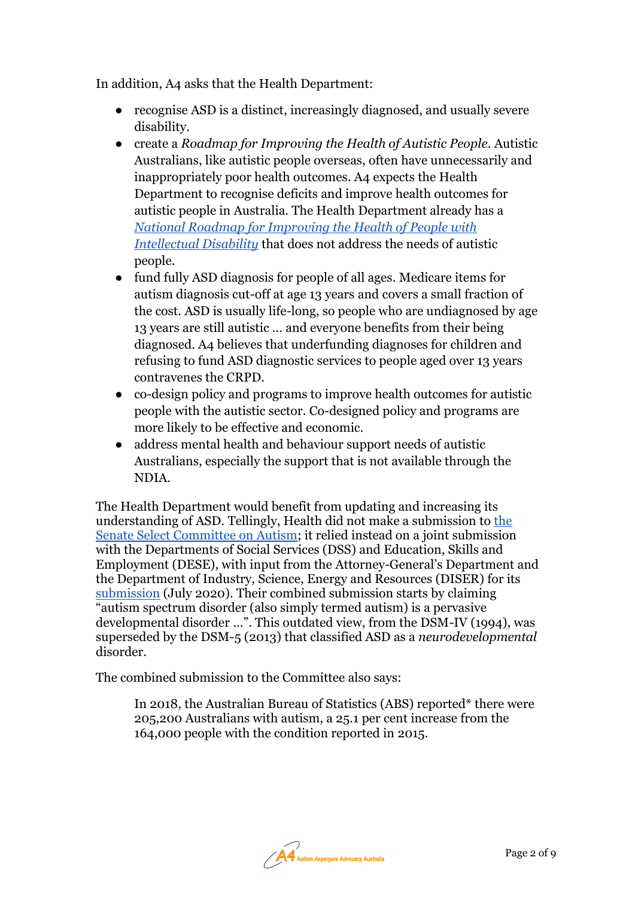In addition, A4 asks that the Health Department:

- recognise ASD is a distinct, increasingly diagnosed, and usually severe disability.
- create a *Roadmap for Improving the Health of Autistic People*. Autistic Australians, like autistic people overseas, often have unnecessarily and inappropriately poor health outcomes. A4 expects the Health Department to recognise deficits and improve health outcomes for autistic people in Australia. The Health Department already has a *[National Roadmap for Improving the Health of People with](https://www.health.gov.au/initiatives-and-programs/national-roadmap-for-improving-the-health-of-people-with-intellectual-disability)  [Intellectual Disability](https://www.health.gov.au/initiatives-and-programs/national-roadmap-for-improving-the-health-of-people-with-intellectual-disability)* that does not address the needs of autistic people.
- fund fully ASD diagnosis for people of all ages. Medicare items for autism diagnosis cut-off at age 13 years and covers a small fraction of the cost. ASD is usually life-long, so people who are undiagnosed by age 13 years are still autistic … and everyone benefits from their being diagnosed. A4 believes that underfunding diagnoses for children and refusing to fund ASD diagnostic services to people aged over 13 years contravenes the CRPD.
- co-design policy and programs to improve health outcomes for autistic people with the autistic sector. Co-designed policy and programs are more likely to be effective and economic.
- address mental health and behaviour support needs of autistic Australians, especially the support that is not available through the NDIA.

The Health Department would benefit from updating and increasing its understanding of ASD. Tellingly, Health did not make a submission to [the](https://www.aph.gov.au/Parliamentary_Business/Committees/Senate/Autism)  [Senate Select Committee on Autism;](https://www.aph.gov.au/Parliamentary_Business/Committees/Senate/Autism) it relied instead on a joint submission with the Departments of Social Services (DSS) and Education, Skills and Employment (DESE), with input from the Attorney-General's Department and the Department of Industry, Science, Energy and Resources (DISER) for its [submission](https://www.aph.gov.au/DocumentStore.ashx?id=24d1048a-8192-4d49-bbdd-cb9a95bf35cf&subId=687923) (July 2020). Their combined submission starts by claiming "autism spectrum disorder (also simply termed autism) is a pervasive developmental disorder …". This outdated view, from the DSM-IV (1994), was superseded by the DSM-5 (2013) that classified ASD as a *neurodevelopmental* disorder.

The combined submission to the Committee also says:

In 2018, the Australian Bureau of Statistics (ABS) reported\* there were 205,200 Australians with autism, a 25.1 per cent increase from the 164,000 people with the condition reported in 2015.

**A4**<br>A4 Autism Aspergers Advocacy Australia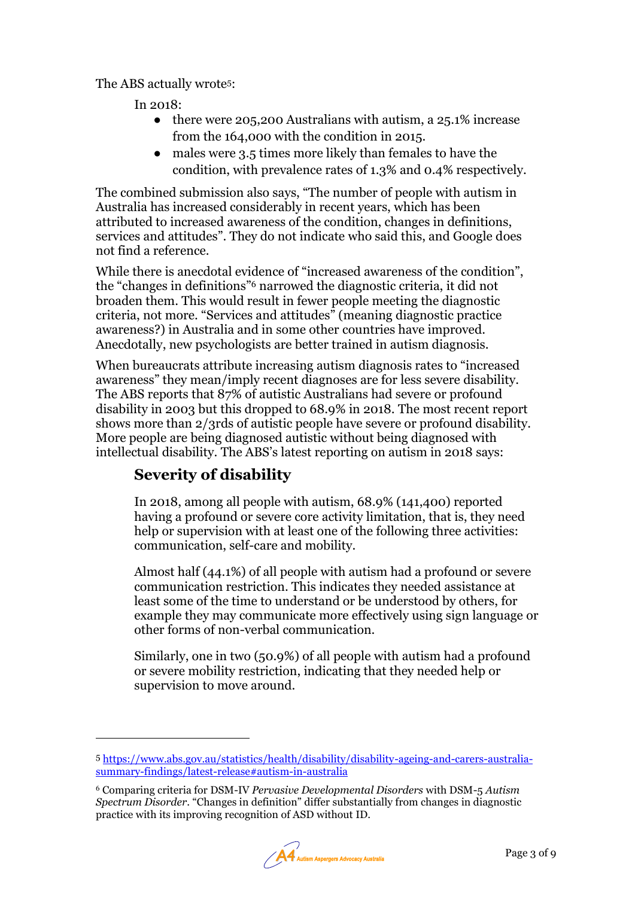The ABS actually wrote5:

In 2018:

- there were 205,200 Australians with autism, a 25.1% increase from the 164,000 with the condition in 2015.
- males were 3.5 times more likely than females to have the condition, with prevalence rates of 1.3% and 0.4% respectively.

The combined submission also says, "The number of people with autism in Australia has increased considerably in recent years, which has been attributed to increased awareness of the condition, changes in definitions, services and attitudes". They do not indicate who said this, and Google does not find a reference.

While there is anecdotal evidence of "increased awareness of the condition", the "changes in definitions"<sup>6</sup> narrowed the diagnostic criteria, it did not broaden them. This would result in fewer people meeting the diagnostic criteria, not more. "Services and attitudes" (meaning diagnostic practice awareness?) in Australia and in some other countries have improved. Anecdotally, new psychologists are better trained in autism diagnosis.

When bureaucrats attribute increasing autism diagnosis rates to "increased awareness" they mean/imply recent diagnoses are for less severe disability. The ABS reports that 87% of autistic Australians had severe or profound disability in 2003 but this dropped to 68.9% in 2018. The most recent report shows more than 2/3rds of autistic people have severe or profound disability. More people are being diagnosed autistic without being diagnosed with intellectual disability. The ABS's latest reporting on autism in 2018 says:

## **Severity of disability**

In 2018, among all people with autism, 68.9% (141,400) reported having a profound or severe core activity limitation, that is, they need help or supervision with at least one of the following three activities: communication, self-care and mobility.

Almost half (44.1%) of all people with autism had a profound or severe communication restriction. This indicates they needed assistance at least some of the time to understand or be understood by others, for example they may communicate more effectively using sign language or other forms of non-verbal communication.

Similarly, one in two (50.9%) of all people with autism had a profound or severe mobility restriction, indicating that they needed help or supervision to move around.

<sup>6</sup> Comparing criteria for DSM-IV *Pervasive Developmental Disorders* with DSM-5 *Autism Spectrum Disorder*. "Changes in definition" differ substantially from changes in diagnostic practice with its improving recognition of ASD without ID.



<sup>5</sup> [https://www.abs.gov.au/statistics/health/disability/disability-ageing-and-carers-australia](https://www.abs.gov.au/statistics/health/disability/disability-ageing-and-carers-australia-summary-findings/latest-release#autism-in-australia)[summary-findings/latest-release#autism-in-australia](https://www.abs.gov.au/statistics/health/disability/disability-ageing-and-carers-australia-summary-findings/latest-release#autism-in-australia)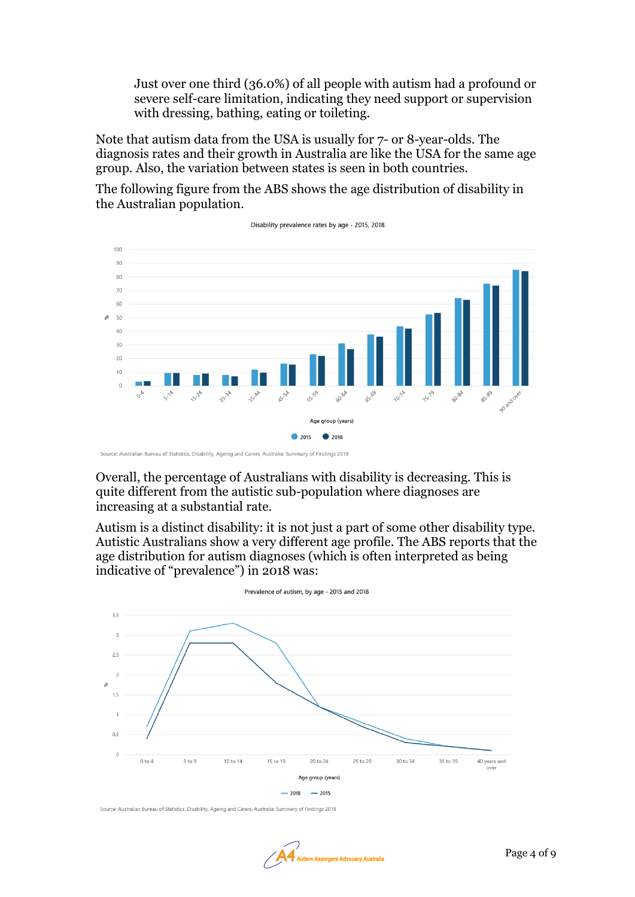Just over one third (36.0%) of all people with autism had a profound or severe self-care limitation, indicating they need support or supervision with dressing, bathing, eating or toileting.

Note that autism data from the USA is usually for 7- or 8-year-olds. The diagnosis rates and their growth in Australia are like the USA for the same age group. Also, the variation between states is seen in both countries.

The following figure from the ABS shows the age distribution of disability in the Australian population.



Disability prevalence rates by age - 2015, 2018

Overall, the percentage of Australians with disability is decreasing. This is quite different from the autistic sub-population where diagnoses are increasing at a substantial rate.

Autism is a distinct disability: it is not just a part of some other disability type. Autistic Australians show a very different age profile. The ABS reports that the age distribution for autism diagnoses (which is often interpreted as being indicative of "prevalence") in 2018 was:



Source: Australian Bureau of Statistics, Disability, Ageing and Carers, Australia: Summary of Findings 2018

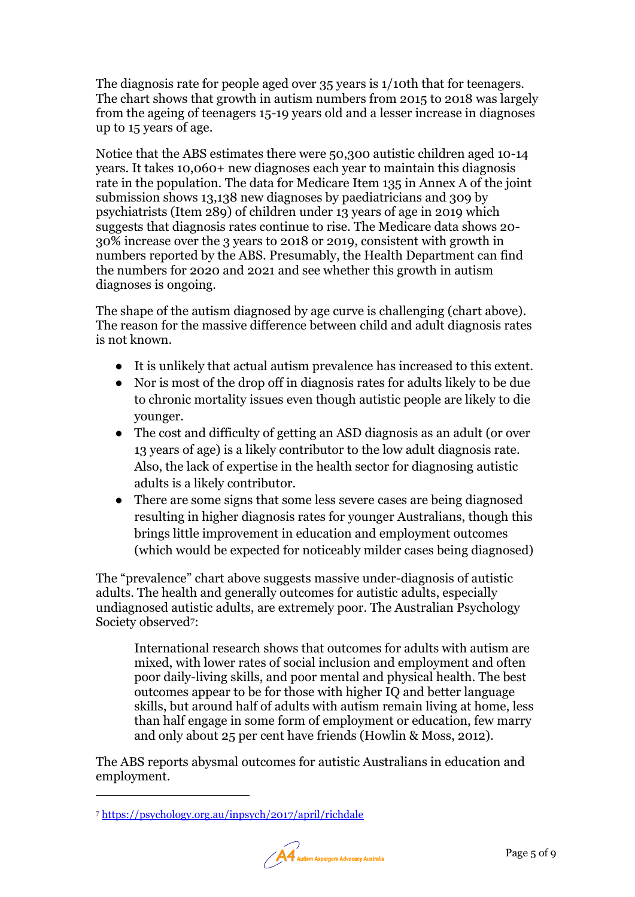The diagnosis rate for people aged over 35 years is 1/10th that for teenagers. The chart shows that growth in autism numbers from 2015 to 2018 was largely from the ageing of teenagers 15-19 years old and a lesser increase in diagnoses up to 15 years of age.

Notice that the ABS estimates there were 50,300 autistic children aged 10-14 years. It takes 10,060+ new diagnoses each year to maintain this diagnosis rate in the population. The data for Medicare Item 135 in Annex A of the joint submission shows 13,138 new diagnoses by paediatricians and 309 by psychiatrists (Item 289) of children under 13 years of age in 2019 which suggests that diagnosis rates continue to rise. The Medicare data shows 20- 30% increase over the 3 years to 2018 or 2019, consistent with growth in numbers reported by the ABS. Presumably, the Health Department can find the numbers for 2020 and 2021 and see whether this growth in autism diagnoses is ongoing.

The shape of the autism diagnosed by age curve is challenging (chart above). The reason for the massive difference between child and adult diagnosis rates is not known.

- It is unlikely that actual autism prevalence has increased to this extent.
- Nor is most of the drop off in diagnosis rates for adults likely to be due to chronic mortality issues even though autistic people are likely to die younger.
- The cost and difficulty of getting an ASD diagnosis as an adult (or over 13 years of age) is a likely contributor to the low adult diagnosis rate. Also, the lack of expertise in the health sector for diagnosing autistic adults is a likely contributor.
- There are some signs that some less severe cases are being diagnosed resulting in higher diagnosis rates for younger Australians, though this brings little improvement in education and employment outcomes (which would be expected for noticeably milder cases being diagnosed)

The "prevalence" chart above suggests massive under-diagnosis of autistic adults. The health and generally outcomes for autistic adults, especially undiagnosed autistic adults, are extremely poor. The Australian Psychology Society observed7:

International research shows that outcomes for adults with autism are mixed, with lower rates of social inclusion and employment and often poor daily-living skills, and poor mental and physical health. The best outcomes appear to be for those with higher IQ and better language skills, but around half of adults with autism remain living at home, less than half engage in some form of employment or education, few marry and only about 25 per cent have friends (Howlin & Moss, 2012).

The ABS reports abysmal outcomes for autistic Australians in education and employment.

<sup>7</sup> <https://psychology.org.au/inpsych/2017/april/richdale>

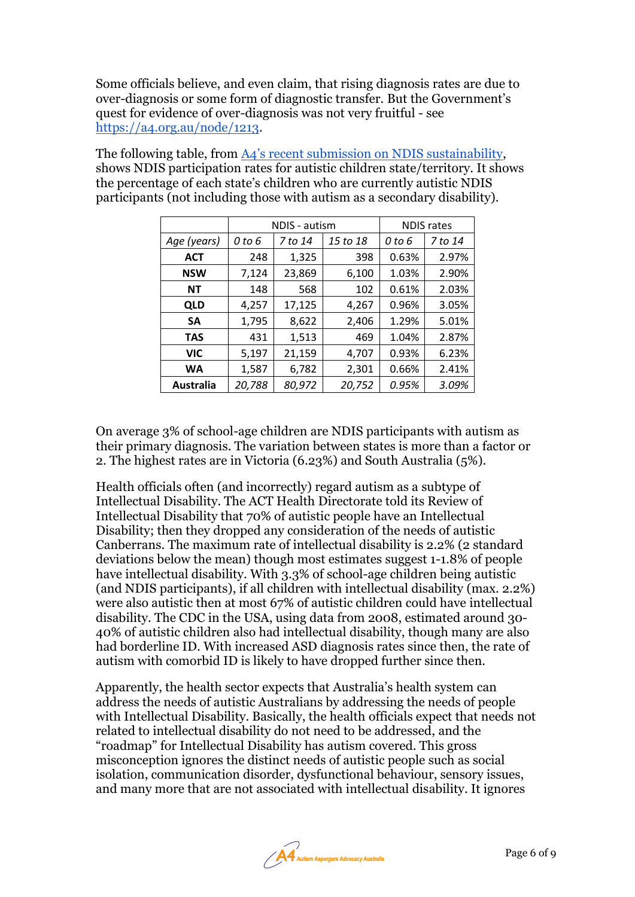Some officials believe, and even claim, that rising diagnosis rates are due to over-diagnosis or some form of diagnostic transfer. But the Government's quest for evidence of over-diagnosis was not very fruitful - see [https://a4.org.au/node/1213.](https://a4.org.au/node/1213)

The following table, from [A4's recent submission on NDIS sustainability](https://a4.org.au/node/2362), shows NDIS participation rates for autistic children state/territory. It shows the percentage of each state's children who are currently autistic NDIS participants (not including those with autism as a secondary disability).

|             | NDIS - autism |         |          | <b>NDIS</b> rates |         |
|-------------|---------------|---------|----------|-------------------|---------|
| Age (years) | 0 to 6        | 7 to 14 | 15 to 18 | 0 to 6            | 7 to 14 |
| <b>ACT</b>  | 248           | 1,325   | 398      | 0.63%             | 2.97%   |
| <b>NSW</b>  | 7,124         | 23,869  | 6,100    | 1.03%             | 2.90%   |
| NΤ          | 148           | 568     | 102      | 0.61%             | 2.03%   |
| <b>QLD</b>  | 4,257         | 17,125  | 4,267    | 0.96%             | 3.05%   |
| SΑ          | 1,795         | 8,622   | 2,406    | 1.29%             | 5.01%   |
| <b>TAS</b>  | 431           | 1,513   | 469      | 1.04%             | 2.87%   |
| <b>VIC</b>  | 5,197         | 21,159  | 4,707    | 0.93%             | 6.23%   |
| <b>WA</b>   | 1,587         | 6,782   | 2,301    | 0.66%             | 2.41%   |
| Australia   | 20,788        | 80,972  | 20,752   | 0.95%             | 3.09%   |

On average 3% of school-age children are NDIS participants with autism as their primary diagnosis. The variation between states is more than a factor or 2. The highest rates are in Victoria (6.23%) and South Australia (5%).

Health officials often (and incorrectly) regard autism as a subtype of Intellectual Disability. The ACT Health Directorate told its Review of Intellectual Disability that 70% of autistic people have an Intellectual Disability; then they dropped any consideration of the needs of autistic Canberrans. The maximum rate of intellectual disability is 2.2% (2 standard deviations below the mean) though most estimates suggest 1-1.8% of people have intellectual disability. With 3.3% of school-age children being autistic (and NDIS participants), if all children with intellectual disability (max. 2.2%) were also autistic then at most 67% of autistic children could have intellectual disability. The CDC in the USA, using data from 2008, estimated around 30- 40% of autistic children also had intellectual disability, though many are also had borderline ID. With increased ASD diagnosis rates since then, the rate of autism with comorbid ID is likely to have dropped further since then.

Apparently, the health sector expects that Australia's health system can address the needs of autistic Australians by addressing the needs of people with Intellectual Disability. Basically, the health officials expect that needs not related to intellectual disability do not need to be addressed, and the "roadmap" for Intellectual Disability has autism covered. This gross misconception ignores the distinct needs of autistic people such as social isolation, communication disorder, dysfunctional behaviour, sensory issues, and many more that are not associated with intellectual disability. It ignores

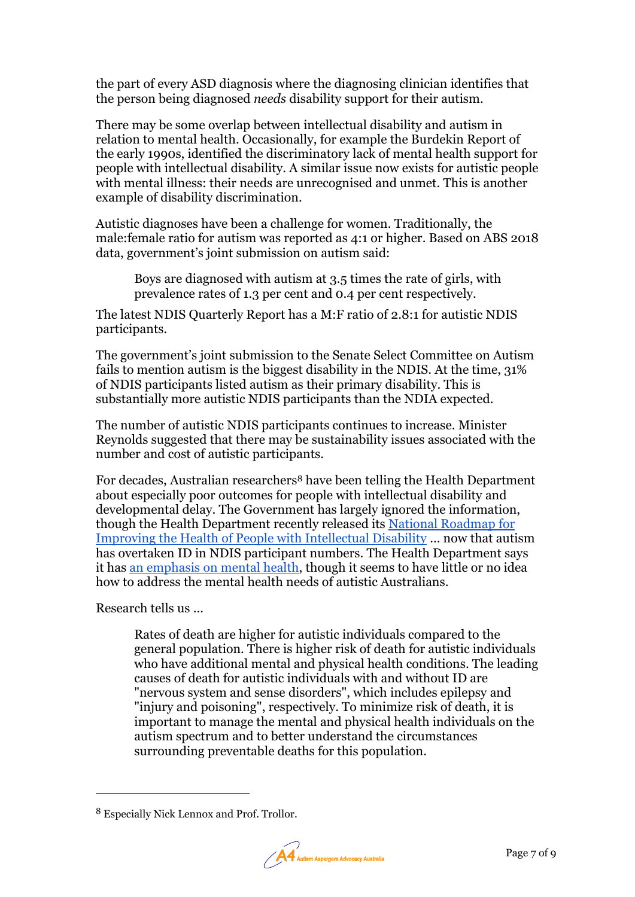the part of every ASD diagnosis where the diagnosing clinician identifies that the person being diagnosed *needs* disability support for their autism.

There may be some overlap between intellectual disability and autism in relation to mental health. Occasionally, for example the Burdekin Report of the early 1990s, identified the discriminatory lack of mental health support for people with intellectual disability. A similar issue now exists for autistic people with mental illness: their needs are unrecognised and unmet. This is another example of disability discrimination.

Autistic diagnoses have been a challenge for women. Traditionally, the male:female ratio for autism was reported as 4:1 or higher. Based on ABS 2018 data, government's joint submission on autism said:

Boys are diagnosed with autism at 3.5 times the rate of girls, with prevalence rates of 1.3 per cent and 0.4 per cent respectively.

The latest NDIS Quarterly Report has a M:F ratio of 2.8:1 for autistic NDIS participants.

The government's joint submission to the Senate Select Committee on Autism fails to mention autism is the biggest disability in the NDIS. At the time, 31% of NDIS participants listed autism as their primary disability. This is substantially more autistic NDIS participants than the NDIA expected.

The number of autistic NDIS participants continues to increase. Minister Reynolds suggested that there may be sustainability issues associated with the number and cost of autistic participants.

For decades, Australian researchers<sup>8</sup> have been telling the Health Department about especially poor outcomes for people with intellectual disability and developmental delay. The Government has largely ignored the information, though the Health Department recently released its [National Roadmap for](https://www.health.gov.au/initiatives-and-programs/national-roadmap-for-improving-the-health-of-people-with-intellectual-disability)  [Improving the Health of People with Intellectual Disability](https://www.health.gov.au/initiatives-and-programs/national-roadmap-for-improving-the-health-of-people-with-intellectual-disability) … now that autism has overtaken ID in NDIS participant numbers. The Health Department says it has [an emphasis on mental health,](https://www.health.gov.au/health-topics/mental-health-and-suicide-prevention/what-were-doing-about-mental-health?utm_source=health.gov.au&utm_medium=callout-auto-custom&utm_campaign=digital_transformation) though it seems to have little or no idea how to address the mental health needs of autistic Australians.

Research tells us …

Rates of death are higher for autistic individuals compared to the general population. There is higher risk of death for autistic individuals who have additional mental and physical health conditions. The leading causes of death for autistic individuals with and without ID are "nervous system and sense disorders", which includes epilepsy and "injury and poisoning", respectively. To minimize risk of death, it is important to manage the mental and physical health individuals on the autism spectrum and to better understand the circumstances surrounding preventable deaths for this population.

<sup>8</sup> Especially Nick Lennox and Prof. Trollor.

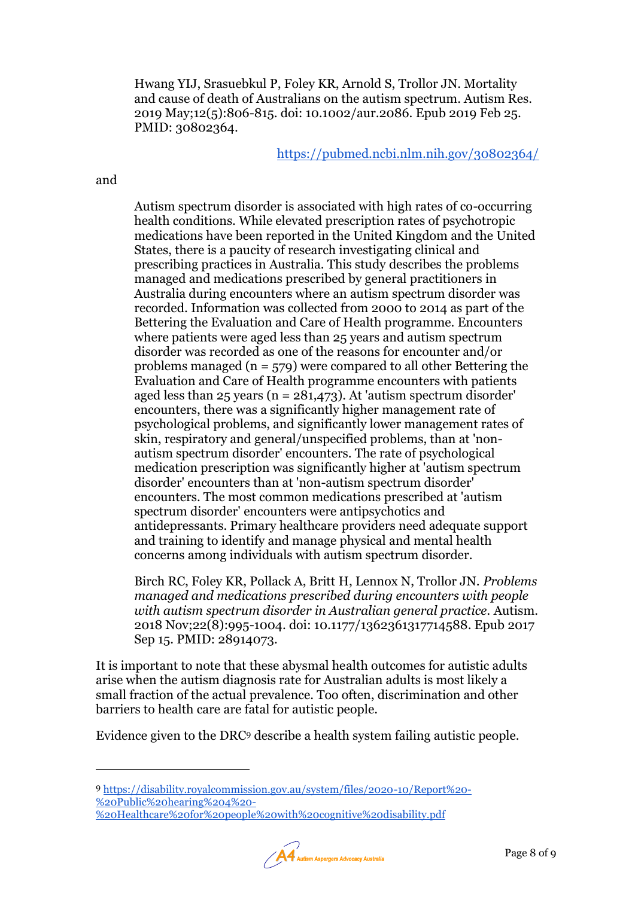Hwang YIJ, Srasuebkul P, Foley KR, Arnold S, Trollor JN. Mortality and cause of death of Australians on the autism spectrum. Autism Res. 2019 May;12(5):806-815. doi: 10.1002/aur.2086. Epub 2019 Feb 25. PMID: 30802364.

<https://pubmed.ncbi.nlm.nih.gov/30802364/>

and

Autism spectrum disorder is associated with high rates of co-occurring health conditions. While elevated prescription rates of psychotropic medications have been reported in the United Kingdom and the United States, there is a paucity of research investigating clinical and prescribing practices in Australia. This study describes the problems managed and medications prescribed by general practitioners in Australia during encounters where an autism spectrum disorder was recorded. Information was collected from 2000 to 2014 as part of the Bettering the Evaluation and Care of Health programme. Encounters where patients were aged less than 25 years and autism spectrum disorder was recorded as one of the reasons for encounter and/or problems managed (n = 579) were compared to all other Bettering the Evaluation and Care of Health programme encounters with patients aged less than  $25$  years (n =  $281,473$ ). At 'autism spectrum disorder' encounters, there was a significantly higher management rate of psychological problems, and significantly lower management rates of skin, respiratory and general/unspecified problems, than at 'nonautism spectrum disorder' encounters. The rate of psychological medication prescription was significantly higher at 'autism spectrum disorder' encounters than at 'non-autism spectrum disorder' encounters. The most common medications prescribed at 'autism spectrum disorder' encounters were antipsychotics and antidepressants. Primary healthcare providers need adequate support and training to identify and manage physical and mental health concerns among individuals with autism spectrum disorder.

Birch RC, Foley KR, Pollack A, Britt H, Lennox N, Trollor JN. *Problems managed and medications prescribed during encounters with people with autism spectrum disorder in Australian general practice.* Autism. 2018 Nov;22(8):995-1004. doi: 10.1177/1362361317714588. Epub 2017 Sep 15. PMID: 28914073.

It is important to note that these abysmal health outcomes for autistic adults arise when the autism diagnosis rate for Australian adults is most likely a small fraction of the actual prevalence. Too often, discrimination and other barriers to health care are fatal for autistic people.

Evidence given to the DRC<sup>9</sup> describe a health system failing autistic people.

9 [https://disability.royalcommission.gov.au/system/files/2020-10/Report%20-](https://disability.royalcommission.gov.au/system/files/2020-10/Report%20-%20Public%20hearing%204%20-%20Healthcare%20for%20people%20with%20cognitive%20disability.pdf) [%20Public%20hearing%204%20-](https://disability.royalcommission.gov.au/system/files/2020-10/Report%20-%20Public%20hearing%204%20-%20Healthcare%20for%20people%20with%20cognitive%20disability.pdf) [%20Healthcare%20for%20people%20with%20cognitive%20disability.pdf](https://disability.royalcommission.gov.au/system/files/2020-10/Report%20-%20Public%20hearing%204%20-%20Healthcare%20for%20people%20with%20cognitive%20disability.pdf)